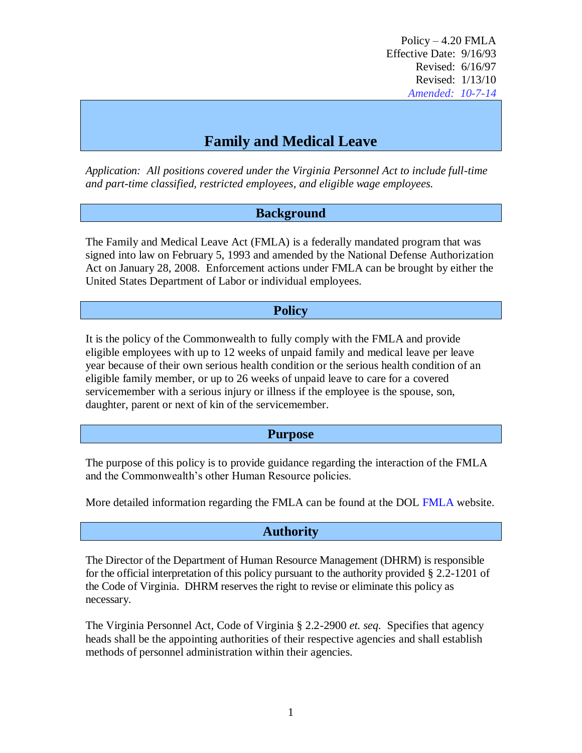# **Family and Medical Leave**

*Application: All positions covered under the Virginia Personnel Act to include full-time and part-time classified, restricted employees, and eligible wage employees.* 

#### **Background**

The Family and Medical Leave Act (FMLA) is a federally mandated program that was signed into law on February 5, 1993 and amended by the National Defense Authorization Act on January 28, 2008. Enforcement actions under FMLA can be brought by either the United States Department of Labor or individual employees.

#### **Policy**

It is the policy of the Commonwealth to fully comply with the FMLA and provide eligible employees with up to 12 weeks of unpaid family and medical leave per leave year because of their own serious health condition or the serious health condition of an eligible family member, or up to 26 weeks of unpaid leave to care for a covered servicemember with a serious injury or illness if the employee is the spouse, son, daughter, parent or next of kin of the servicemember.

#### **Purpose**

The purpose of this policy is to provide guidance regarding the interaction of the FMLA and the Commonwealth's other Human Resource policies.

More detailed information regarding the [FMLA](http://www.dol.gov/whd/fmla/index.htm) can be found at the DOL FMLA website.

## **Authority**

The Director of the Department of Human Resource Management (DHRM) is responsible for the official interpretation of this policy pursuant to the authority provided § 2.2-1201 of the Code of Virginia. DHRM reserves the right to revise or eliminate this policy as necessary.

The Virginia Personnel Act, Code of Virginia § 2.2-2900 *et. seq.* Specifies that agency heads shall be the appointing authorities of their respective agencies and shall establish methods of personnel administration within their agencies.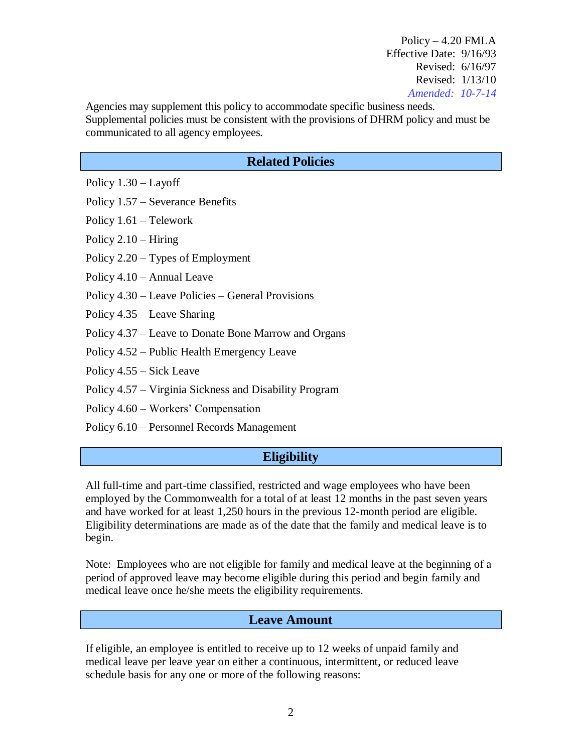Agencies may supplement this policy to accommodate specific business needs. Supplemental policies must be consistent with the provisions of DHRM policy and must be communicated to all agency employees.

## **Related Policies**

Policy 1.30 – Layoff

Policy 1.57 – Severance Benefits

Policy 1.61 – Telework

Policy 2.10 – Hiring

Policy 2.20 – Types of Employment

Policy 4.10 – Annual Leave

Policy 4.30 – Leave Policies – General Provisions

Policy 4.35 – Leave Sharing

Policy 4.37 – Leave to Donate Bone Marrow and Organs

Policy 4.52 – Public Health Emergency Leave

Policy 4.55 – Sick Leave

Policy 4.57 – Virginia Sickness and Disability Program

Policy 4.60 – Workers' Compensation

Policy 6.10 – Personnel Records Management

## **Eligibility**

All full-time and part-time classified, restricted and wage employees who have been employed by the Commonwealth for a total of at least 12 months in the past seven years and have worked for at least 1,250 hours in the previous 12-month period are eligible. Eligibility determinations are made as of the date that the family and medical leave is to begin.

Note: Employees who are not eligible for family and medical leave at the beginning of a period of approved leave may become eligible during this period and begin family and medical leave once he/she meets the eligibility requirements.

## **Leave Amount**

If eligible, an employee is entitled to receive up to 12 weeks of unpaid family and medical leave per leave year on either a continuous, intermittent, or reduced leave schedule basis for any one or more of the following reasons: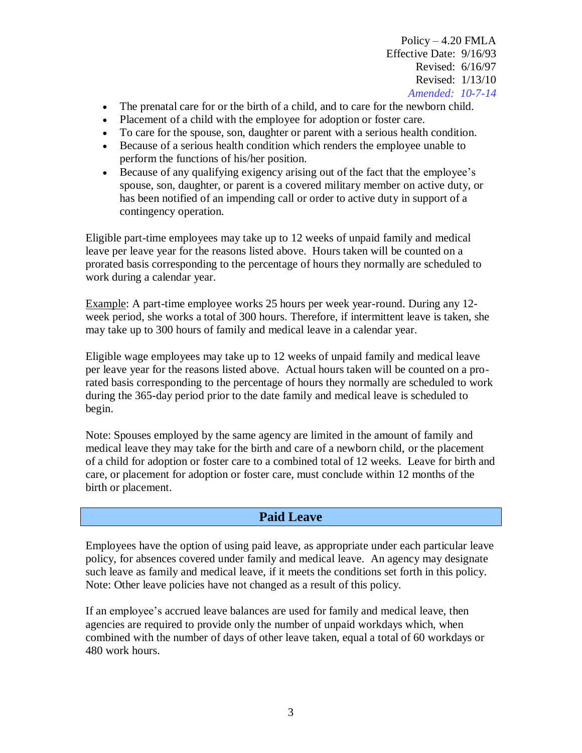- The prenatal care for or the birth of a child, and to care for the newborn child.
- Placement of a child with the employee for adoption or foster care.
- To care for the spouse, son, daughter or parent with a serious health condition.
- Because of a serious health condition which renders the employee unable to perform the functions of his/her position.
- Because of any qualifying exigency arising out of the fact that the employee's spouse, son, daughter, or parent is a covered military member on active duty, or has been notified of an impending call or order to active duty in support of a contingency operation.

Eligible part-time employees may take up to 12 weeks of unpaid family and medical leave per leave year for the reasons listed above. Hours taken will be counted on a prorated basis corresponding to the percentage of hours they normally are scheduled to work during a calendar year.

Example: A part-time employee works 25 hours per week year-round. During any 12 week period, she works a total of 300 hours. Therefore, if intermittent leave is taken, she may take up to 300 hours of family and medical leave in a calendar year.

Eligible wage employees may take up to 12 weeks of unpaid family and medical leave per leave year for the reasons listed above. Actual hours taken will be counted on a prorated basis corresponding to the percentage of hours they normally are scheduled to work during the 365-day period prior to the date family and medical leave is scheduled to begin.

Note: Spouses employed by the same agency are limited in the amount of family and medical leave they may take for the birth and care of a newborn child, or the placement of a child for adoption or foster care to a combined total of 12 weeks. Leave for birth and care, or placement for adoption or foster care, must conclude within 12 months of the birth or placement.

# **Paid Leave**

Employees have the option of using paid leave, as appropriate under each particular leave policy, for absences covered under family and medical leave. An agency may designate such leave as family and medical leave, if it meets the conditions set forth in this policy. Note: Other leave policies have not changed as a result of this policy.

If an employee's accrued leave balances are used for family and medical leave, then agencies are required to provide only the number of unpaid workdays which, when combined with the number of days of other leave taken, equal a total of 60 workdays or 480 work hours.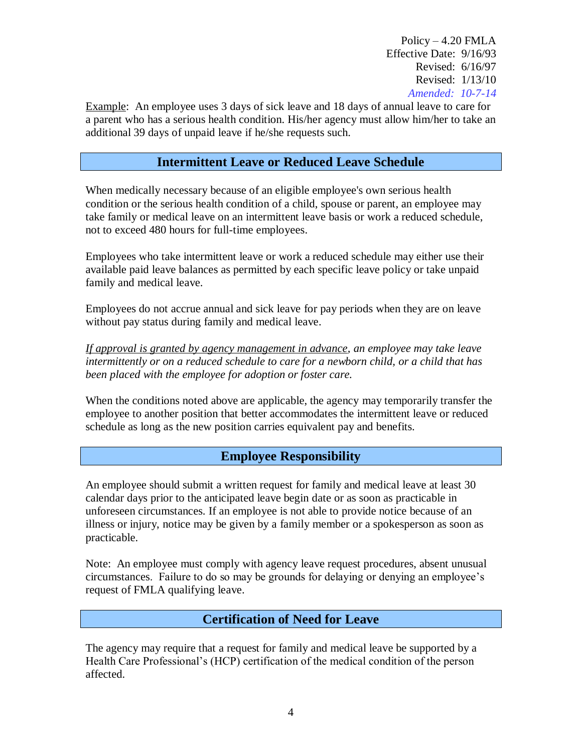Example: An employee uses 3 days of sick leave and 18 days of annual leave to care for a parent who has a serious health condition. His/her agency must allow him/her to take an additional 39 days of unpaid leave if he/she requests such.

## **Intermittent Leave or Reduced Leave Schedule**

When medically necessary because of an eligible employee's own serious health condition or the serious health condition of a child, spouse or parent, an employee may take family or medical leave on an intermittent leave basis or work a reduced schedule, not to exceed 480 hours for full-time employees.

Employees who take intermittent leave or work a reduced schedule may either use their available paid leave balances as permitted by each specific leave policy or take unpaid family and medical leave.

Employees do not accrue annual and sick leave for pay periods when they are on leave without pay status during family and medical leave.

*If approval is granted by agency management in advance, an employee may take leave intermittently or on a reduced schedule to care for a newborn child, or a child that has been placed with the employee for adoption or foster care.* 

When the conditions noted above are applicable, the agency may temporarily transfer the employee to another position that better accommodates the intermittent leave or reduced schedule as long as the new position carries equivalent pay and benefits.

## **Employee Responsibility**

An employee should submit a written request for family and medical leave at least 30 calendar days prior to the anticipated leave begin date or as soon as practicable in unforeseen circumstances. If an employee is not able to provide notice because of an illness or injury, notice may be given by a family member or a spokesperson as soon as practicable.

Note: An employee must comply with agency leave request procedures, absent unusual circumstances. Failure to do so may be grounds for delaying or denying an employee's request of FMLA qualifying leave.

## **Certification of Need for Leave**

The agency may require that a request for family and medical leave be supported by a Health Care Professional's (HCP) certification of the medical condition of the person affected.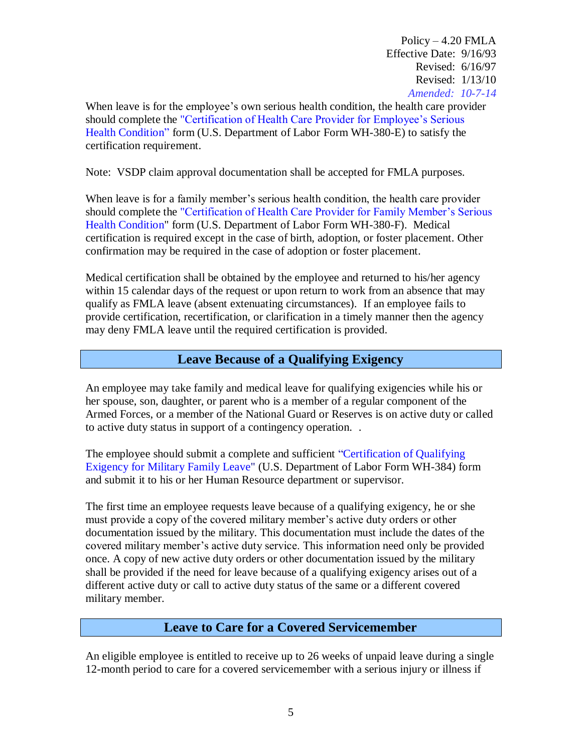When leave is for the employee's own serious health condition, the health care provider should complete the ["Certification of Health Care Provider for Employee's Serious](http://www.dol.gov/whd/forms/WH-380-E.pdf)  [Health Condition"](http://www.dol.gov/whd/forms/WH-380-E.pdf) form (U.S. Department of Labor Form WH-380-E) to satisfy the certification requirement.

Note: VSDP claim approval documentation shall be accepted for FMLA purposes.

When leave is for a family member's serious health condition, the health care provider should complete the ["Certification of Health Care Provider for Family Member's Serious](http://www.dol.gov/whd/forms/WH-380-F.pdf)  [Health Condition"](http://www.dol.gov/whd/forms/WH-380-F.pdf) form (U.S. Department of Labor Form WH-380-F). Medical certification is required except in the case of birth, adoption, or foster placement. Other confirmation may be required in the case of adoption or foster placement.

Medical certification shall be obtained by the employee and returned to his/her agency within 15 calendar days of the request or upon return to work from an absence that may qualify as FMLA leave (absent extenuating circumstances). If an employee fails to provide certification, recertification, or clarification in a timely manner then the agency may deny FMLA leave until the required certification is provided.

## **Leave Because of a Qualifying Exigency**

An employee may take family and medical leave for qualifying exigencies while his or her spouse, son, daughter, or parent who is a member of a regular component of the Armed Forces, or a member of the National Guard or Reserves is on active duty or called to active duty status in support of a contingency operation. .

The employee should submit a complete and sufficient ["Certification of Qualifying](http://www.dol.gov/whd/forms/WH-384.pdf)  [Exigency for Military Family Leave"](http://www.dol.gov/whd/forms/WH-384.pdf) (U.S. Department of Labor Form WH-384) form and submit it to his or her Human Resource department or supervisor.

The first time an employee requests leave because of a qualifying exigency, he or she must provide a copy of the covered military member's active duty orders or other documentation issued by the military. This documentation must include the dates of the covered military member's active duty service. This information need only be provided once. A copy of new active duty orders or other documentation issued by the military shall be provided if the need for leave because of a qualifying exigency arises out of a different active duty or call to active duty status of the same or a different covered military member.

#### **Leave to Care for a Covered Servicemember**

An eligible employee is entitled to receive up to 26 weeks of unpaid leave during a single 12-month period to care for a covered servicemember with a serious injury or illness if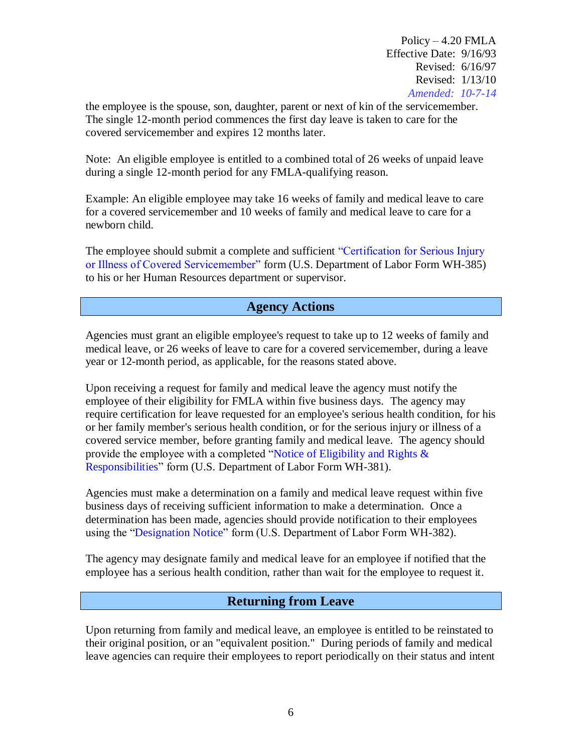the employee is the spouse, son, daughter, parent or next of kin of the servicemember. The single 12-month period commences the first day leave is taken to care for the covered servicemember and expires 12 months later.

Note: An eligible employee is entitled to a combined total of 26 weeks of unpaid leave during a single 12-month period for any FMLA-qualifying reason.

Example: An eligible employee may take 16 weeks of family and medical leave to care for a covered servicemember and 10 weeks of family and medical leave to care for a newborn child.

The employee should submit a complete and sufficient ["Certification for Serious Injury](http://www.dol.gov/whd/forms/WH-385.pdf)  [or Illness of Covered Servicemember"](http://www.dol.gov/whd/forms/WH-385.pdf) form (U.S. Department of Labor Form WH-385) to his or her Human Resources department or supervisor.

## **Agency Actions**

Agencies must grant an eligible employee's request to take up to 12 weeks of family and medical leave, or 26 weeks of leave to care for a covered servicemember, during a leave year or 12-month period, as applicable, for the reasons stated above.

Upon receiving a request for family and medical leave the agency must notify the employee of their eligibility for FMLA within five business days. The agency may require certification for leave requested for an employee's serious health condition, for his or her family member's serious health condition, or for the serious injury or illness of a covered service member, before granting family and medical leave. The agency should provide the employee with a completed ["Notice of Eligibility and Rights &](http://www.dol.gov/whd/forms/WH-381.pdf)  [Responsibilities"](http://www.dol.gov/whd/forms/WH-381.pdf) form (U.S. Department of Labor Form WH-381).

Agencies must make a determination on a family and medical leave request within five business days of receiving sufficient information to make a determination. Once a determination has been made, agencies should provide notification to their employees using the ["Designation Notice"](http://www.dol.gov/whd/forms/WH-382.pdf) form (U.S. Department of Labor Form WH-382).

The agency may designate family and medical leave for an employee if notified that the employee has a serious health condition, rather than wait for the employee to request it.

#### **Returning from Leave**

Upon returning from family and medical leave, an employee is entitled to be reinstated to their original position, or an "equivalent position." During periods of family and medical leave agencies can require their employees to report periodically on their status and intent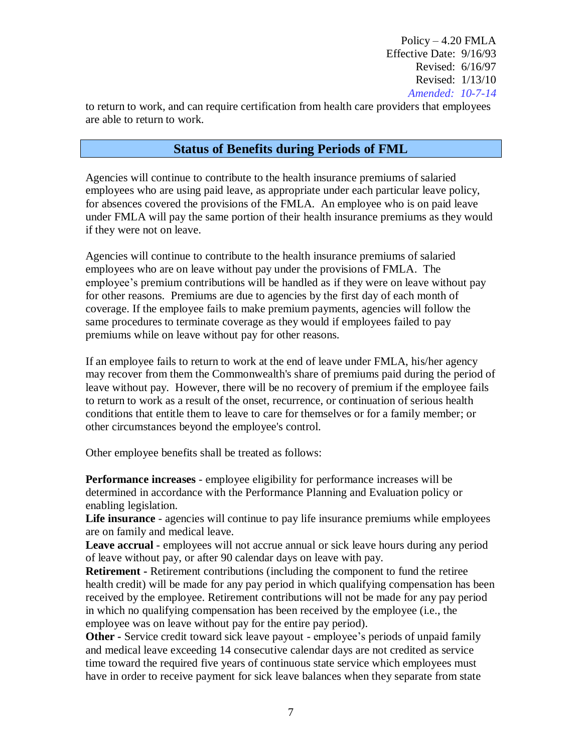to return to work, and can require certification from health care providers that employees are able to return to work.

#### **Status of Benefits during Periods of FML**

Agencies will continue to contribute to the health insurance premiums of salaried employees who are using paid leave, as appropriate under each particular leave policy, for absences covered the provisions of the FMLA. An employee who is on paid leave under FMLA will pay the same portion of their health insurance premiums as they would if they were not on leave.

Agencies will continue to contribute to the health insurance premiums of salaried employees who are on leave without pay under the provisions of FMLA. The employee's premium contributions will be handled as if they were on leave without pay for other reasons. Premiums are due to agencies by the first day of each month of coverage. If the employee fails to make premium payments, agencies will follow the same procedures to terminate coverage as they would if employees failed to pay premiums while on leave without pay for other reasons.

If an employee fails to return to work at the end of leave under FMLA, his/her agency may recover from them the Commonwealth's share of premiums paid during the period of leave without pay. However, there will be no recovery of premium if the employee fails to return to work as a result of the onset, recurrence, or continuation of serious health conditions that entitle them to leave to care for themselves or for a family member; or other circumstances beyond the employee's control.

Other employee benefits shall be treated as follows:

**Performance increases** - employee eligibility for performance increases will be determined in accordance with the Performance Planning and Evaluation policy or enabling legislation.

**Life insurance** - agencies will continue to pay life insurance premiums while employees are on family and medical leave.

**Leave accrual** - employees will not accrue annual or sick leave hours during any period of leave without pay, or after 90 calendar days on leave with pay.

**Retirement -** Retirement contributions (including the component to fund the retiree health credit) will be made for any pay period in which qualifying compensation has been received by the employee. Retirement contributions will not be made for any pay period in which no qualifying compensation has been received by the employee (i.e., the employee was on leave without pay for the entire pay period).

**Other -** Service credit toward sick leave payout - employee's periods of unpaid family and medical leave exceeding 14 consecutive calendar days are not credited as service time toward the required five years of continuous state service which employees must have in order to receive payment for sick leave balances when they separate from state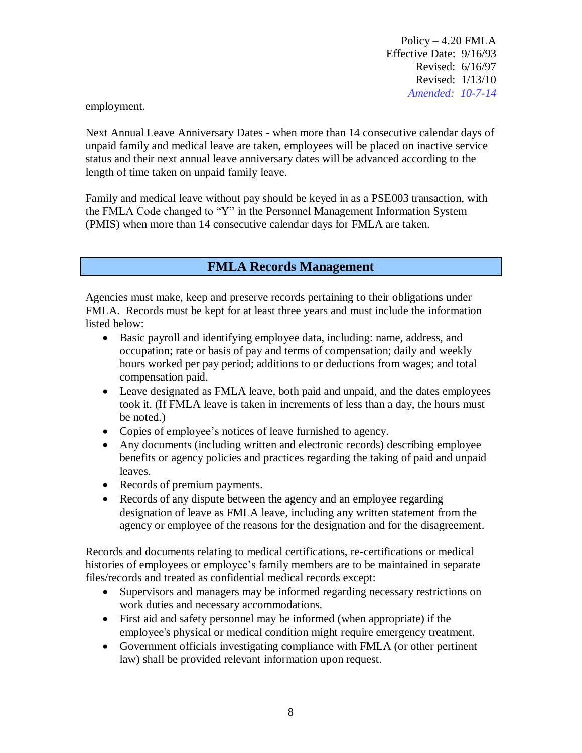employment.

Next Annual Leave Anniversary Dates - when more than 14 consecutive calendar days of unpaid family and medical leave are taken, employees will be placed on inactive service status and their next annual leave anniversary dates will be advanced according to the length of time taken on unpaid family leave.

Family and medical leave without pay should be keyed in as a PSE003 transaction, with the FMLA Code changed to "Y" in the Personnel Management Information System (PMIS) when more than 14 consecutive calendar days for FMLA are taken.

## **FMLA Records Management**

Agencies must make, keep and preserve records pertaining to their obligations under FMLA. Records must be kept for at least three years and must include the information listed below:

- Basic payroll and identifying employee data, including: name, address, and occupation; rate or basis of pay and terms of compensation; daily and weekly hours worked per pay period; additions to or deductions from wages; and total compensation paid.
- Leave designated as FMLA leave, both paid and unpaid, and the dates employees took it. (If FMLA leave is taken in increments of less than a day, the hours must be noted.)
- Copies of employee's notices of leave furnished to agency.
- Any documents (including written and electronic records) describing employee benefits or agency policies and practices regarding the taking of paid and unpaid leaves.
- Records of premium payments.
- Records of any dispute between the agency and an employee regarding designation of leave as FMLA leave, including any written statement from the agency or employee of the reasons for the designation and for the disagreement.

Records and documents relating to medical certifications, re-certifications or medical histories of employees or employee's family members are to be maintained in separate files/records and treated as confidential medical records except:

- Supervisors and managers may be informed regarding necessary restrictions on work duties and necessary accommodations.
- First aid and safety personnel may be informed (when appropriate) if the employee's physical or medical condition might require emergency treatment.
- Government officials investigating compliance with FMLA (or other pertinent law) shall be provided relevant information upon request.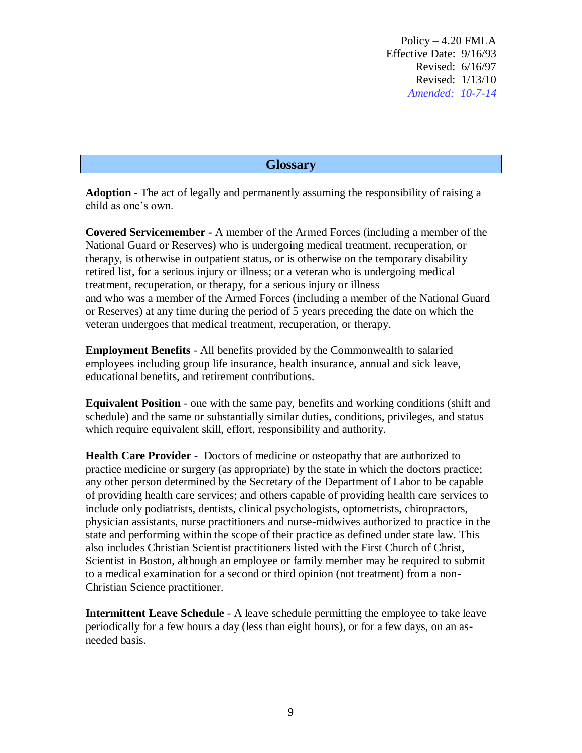#### **Glossary**

**Adoption -** The act of legally and permanently assuming the responsibility of raising a child as one's own.

**Covered Servicemember -** A member of the Armed Forces (including a member of the National Guard or Reserves) who is undergoing medical treatment, recuperation, or therapy, is otherwise in outpatient status, or is otherwise on the temporary disability retired list, for a serious injury or illness; or a veteran who is undergoing medical treatment, recuperation, or therapy, for a serious injury or illness and who was a member of the Armed Forces (including a member of the National Guard or Reserves) at any time during the period of 5 years preceding the date on which the veteran undergoes that medical treatment, recuperation, or therapy.

**Employment Benefits** - All benefits provided by the Commonwealth to salaried employees including group life insurance, health insurance, annual and sick leave, educational benefits, and retirement contributions.

**Equivalent Position** - one with the same pay, benefits and working conditions (shift and schedule) and the same or substantially similar duties, conditions, privileges, and status which require equivalent skill, effort, responsibility and authority.

**Health Care Provider** - Doctors of medicine or osteopathy that are authorized to practice medicine or surgery (as appropriate) by the state in which the doctors practice; any other person determined by the Secretary of the Department of Labor to be capable of providing health care services; and others capable of providing health care services to include only podiatrists, dentists, clinical psychologists, optometrists, chiropractors, physician assistants, nurse practitioners and nurse-midwives authorized to practice in the state and performing within the scope of their practice as defined under state law. This also includes Christian Scientist practitioners listed with the First Church of Christ, Scientist in Boston, although an employee or family member may be required to submit to a medical examination for a second or third opinion (not treatment) from a non-Christian Science practitioner.

**Intermittent Leave Schedule** - A leave schedule permitting the employee to take leave periodically for a few hours a day (less than eight hours), or for a few days, on an asneeded basis.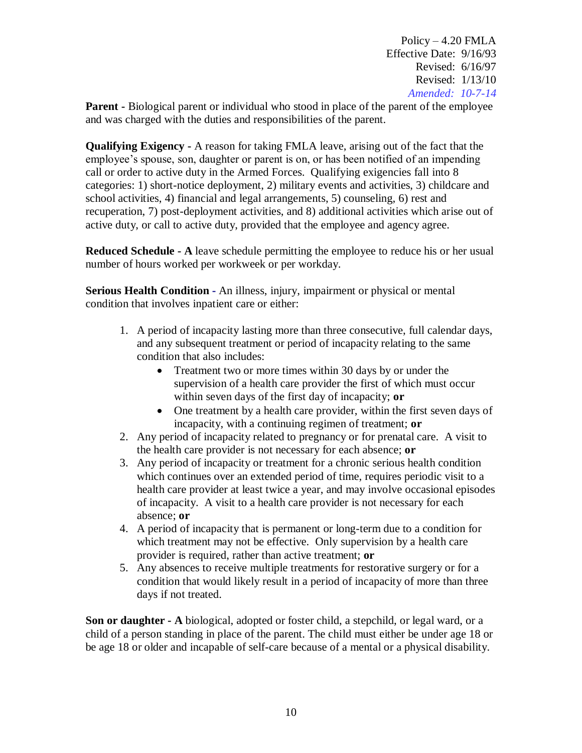**Parent** - Biological parent or individual who stood in place of the parent of the employee and was charged with the duties and responsibilities of the parent.

**Qualifying Exigency -** A reason for taking FMLA leave, arising out of the fact that the employee's spouse, son, daughter or parent is on, or has been notified of an impending call or order to active duty in the Armed Forces. Qualifying exigencies fall into 8 categories: 1) short-notice deployment, 2) military events and activities, 3) childcare and school activities, 4) financial and legal arrangements, 5) counseling, 6) rest and recuperation, 7) post-deployment activities, and 8) additional activities which arise out of active duty, or call to active duty, provided that the employee and agency agree.

**Reduced Schedule - A** leave schedule permitting the employee to reduce his or her usual number of hours worked per workweek or per workday.

**Serious Health Condition -** An illness, injury, impairment or physical or mental condition that involves inpatient care or either:

- 1. A period of incapacity lasting more than three consecutive, full calendar days, and any subsequent treatment or period of incapacity relating to the same condition that also includes:
	- Treatment two or more times within 30 days by or under the supervision of a health care provider the first of which must occur within seven days of the first day of incapacity; **or**
	- One treatment by a health care provider, within the first seven days of incapacity, with a continuing regimen of treatment; **or**
- 2. Any period of incapacity related to pregnancy or for prenatal care. A visit to the health care provider is not necessary for each absence; **or**
- 3. Any period of incapacity or treatment for a chronic serious health condition which continues over an extended period of time, requires periodic visit to a health care provider at least twice a year, and may involve occasional episodes of incapacity. A visit to a health care provider is not necessary for each absence; **or**
- 4. A period of incapacity that is permanent or long-term due to a condition for which treatment may not be effective. Only supervision by a health care provider is required, rather than active treatment; **or**
- 5. Any absences to receive multiple treatments for restorative surgery or for a condition that would likely result in a period of incapacity of more than three days if not treated.

**Son or daughter - A** biological, adopted or foster child, a stepchild, or legal ward, or a child of a person standing in place of the parent. The child must either be under age 18 or be age 18 or older and incapable of self-care because of a mental or a physical disability.